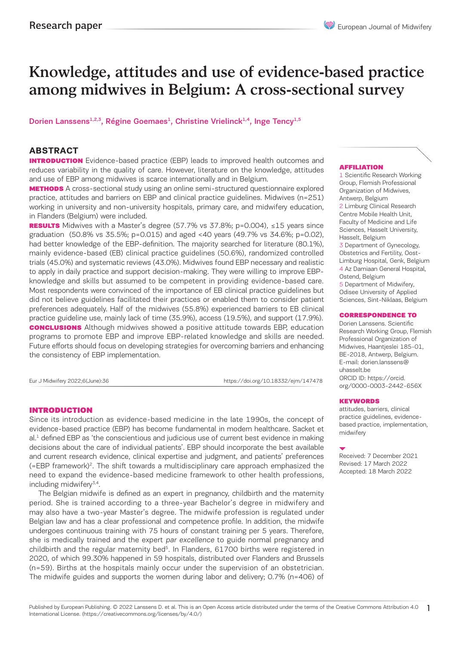# Knowledge, attitudes and use of evidence-based practice among midwives in Belgium: A cross-sectional survey

Dorien Lanssens<sup>1,2,3</sup>, Régine Goemaes<sup>1</sup>, Christine Vrielinck<sup>1,4</sup>, Inge Tency<sup>1,5</sup>

# **ABSTRACT**

**INTRODUCTION** Evidence-based practice (EBP) leads to improved health outcomes and reduces variability in the quality of care. However, literature on the knowledge, attitudes and use of EBP among midwives is scarce internationally and in Belgium.

**METHODS** A cross-sectional study using an online semi-structured questionnaire explored practice, attitudes and barriers on EBP and clinical practice guidelines. Midwives (n=251) working in university and non-university hospitals, primary care, and midwifery education, in Flanders (Belgium) were included.

**RESULTS** Midwives with a Master's degree (57.7% vs 37.8%; p=0.004),  $\leq 15$  years since graduation (50.8% vs 35.5%; p=0.015) and aged <40 years (49.7% vs 34.6%; p=0.02), had better knowledge of the EBP-definition. The majority searched for literature (80.1%), mainly evidence-based (EB) clinical practice guidelines (50.6%), randomized controlled trials (45.0%) and systematic reviews (43.0%). Midwives found EBP necessary and realistic to apply in daily practice and support decision-making. They were willing to improve EBPknowledge and skills but assumed to be competent in providing evidence-based care. Most respondents were convinced of the importance of EB clinical practice guidelines but did not believe guidelines facilitated their practices or enabled them to consider patient preferences adequately. Half of the midwives (55.8%) experienced barriers to EB clinical practice guideline use, mainly lack of time (35.9%), access (19.5%), and support (17.9%). **CONCLUSIONS** Although midwives showed a positive attitude towards EBP, education programs to promote EBP and improve EBP-related knowledge and skills are needed. Future efforts should focus on developing strategies for overcoming barriers and enhancing the consistency of EBP implementation.

Eur J Midwifery 2022;6(June):36 https://doi.org/10.18332/ejm/147478

# INTRODUCTION

Since its introduction as evidence-based medicine in the late 1990s, the concept of evidence-based practice (EBP) has become fundamental in modern healthcare. Sacket et al.<sup>1</sup> defined EBP as 'the conscientious and judicious use of current best evidence in making decisions about the care of individual patients'. EBP should incorporate the best available and current research evidence, clinical expertise and judgment, and patients' preferences  $(=EBP$  framework)<sup>2</sup>. The shift towards a multidisciplinary care approach emphasized the need to expand the evidence-based medicine framework to other health professions, including midwifery<sup>3,4</sup>.

The Belgian midwife is defined as an expert in pregnancy, childbirth and the maternity period. She is trained according to a three-year Bachelor's degree in midwifery and may also have a two-year Master's degree. The midwife profession is regulated under Belgian law and has a clear professional and competence profile. In addition, the midwife undergoes continuous training with 75 hours of constant training per 5 years. Therefore, she is medically trained and the expert par excellence to guide normal pregnancy and childbirth and the regular maternity bed<sup>5</sup>. In Flanders, 61700 births were registered in 2020, of which 99.30% happened in 59 hospitals, distributed over Flanders and Brussels (n=59). Births at the hospitals mainly occur under the supervision of an obstetrician. The midwife guides and supports the women during labor and delivery; 0.7% (n=406) of

#### AFFILIATION

1 Scientific Research Working Group, Flemish Professional Organization of Midwives, Antwerp, Belgium 2 Limburg Clinical Research Centre Mobile Health Unit, Faculty of Medicine and Life Sciences, Hasselt University, Hasselt, Belgium 3 Department of Gynecology, Obstetrics and Fertility, Oost-Limburg Hospital, Genk, Belgium 4 Az Damiaan General Hospital, Ostend, Belgium 5 Department of Midwifery, Odisee University of Applied Sciences, Sint-Niklaas, Belgium

#### CORRESPONDENCE TO

Dorien Lanssens. Scientific Research Working Group, Flemish Professional Organization of Midwives, Haantjeslei 185-01, BE-2018, Antwerp, Belgium. E-mail: dorien.lanssens@ uhasselt.be ORCID ID: https://orcid. org/0000-0003-2442-656X

#### **KEYWORDS**

attitudes, barriers, clinical practice guidelines, evidencebased practice, implementation, midwifery

Received: 7 December 2021 Revised: 17 March 2022 Accepted: 18 March 2022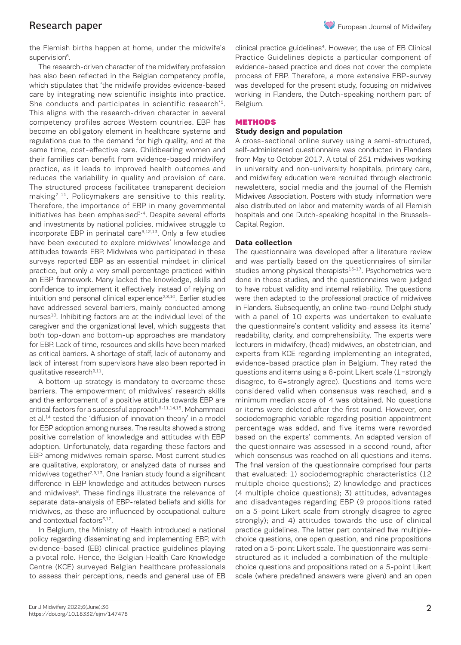the Flemish births happen at home, under the midwife's supervision<sup>6</sup>.

The research-driven character of the midwifery profession has also been reflected in the Belgian competency profile, which stipulates that 'the midwife provides evidence-based care by integrating new scientific insights into practice. She conducts and participates in scientific research'5. This aligns with the research-driven character in several competency profiles across Western countries. EBP has become an obligatory element in healthcare systems and regulations due to the demand for high quality, and at the same time, cost-effective care. Childbearing women and their families can benefit from evidence-based midwifery practice, as it leads to improved health outcomes and reduces the variability in quality and provision of care. The structured process facilitates transparent decision making<sup>7-11</sup>. Policymakers are sensitive to this reality. Therefore, the importance of EBP in many governmental initiatives has been emphasised<sup>3-4</sup>. Despite several efforts and investments by national policies, midwives struggle to incorporate EBP in perinatal care<sup>9,12,13</sup>. Only a few studies have been executed to explore midwives' knowledge and attitudes towards EBP. Midwives who participated in these surveys reported EBP as an essential mindset in clinical practice, but only a very small percentage practiced within an EBP framework. Many lacked the knowledge, skills and confidence to implement it effectively instead of relying on intuition and personal clinical experience<sup>2,8,10</sup>. Earlier studies have addressed several barriers, mainly conducted among nurses<sup>10</sup>. Inhibiting factors are at the individual level of the caregiver and the organizational level, which suggests that both top-down and bottom-up approaches are mandatory for EBP. Lack of time, resources and skills have been marked as critical barriers. A shortage of staff, lack of autonomy and lack of interest from supervisors have also been reported in qualitative research<sup>9,11</sup>.

A bottom-up strategy is mandatory to overcome these barriers. The empowerment of midwives' research skills and the enforcement of a positive attitude towards EBP are critical factors for a successful approach<sup>9-11,14,15</sup>. Mohammadi et al.<sup>14</sup> tested the 'diffusion of innovation theory' in a model for EBP adoption among nurses. The results showed a strong positive correlation of knowledge and attitudes with EBP adoption. Unfortunately, data regarding these factors and EBP among midwives remain sparse. Most current studies are qualitative, exploratory, or analyzed data of nurses and midwives together<sup>2,9,13</sup>. One Iranian study found a significant difference in EBP knowledge and attitudes between nurses and midwives<sup>8</sup>. These findings illustrate the relevance of separate data-analysis of EBP-related beliefs and skills for midwives, as these are influenced by occupational culture and contextual factors<sup>3,12</sup>.

In Belgium, the Ministry of Health introduced a national policy regarding disseminating and implementing EBP, with evidence-based (EB) clinical practice guidelines playing a pivotal role. Hence, the Belgian Health Care Knowledge Centre (KCE) surveyed Belgian healthcare professionals to assess their perceptions, needs and general use of EB

clinical practice guidelines<sup>4</sup>. However, the use of EB Clinical Practice Guidelines depicts a particular component of evidence-based practice and does not cover the complete process of EBP. Therefore, a more extensive EBP-survey was developed for the present study, focusing on midwives working in Flanders, the Dutch-speaking northern part of Belgium.

# **METHODS**

# **Study design and population**

A cross-sectional online survey using a semi-structured, self-administered questionnaire was conducted in Flanders from May to October 2017. A total of 251 midwives working in university and non-university hospitals, primary care, and midwifery education were recruited through electronic newsletters, social media and the journal of the Flemish Midwives Association. Posters with study information were also distributed on labor and maternity wards of all Flemish hospitals and one Dutch-speaking hospital in the Brussels-Capital Region.

# **Data collection**

The questionnaire was developed after a literature review and was partially based on the questionnaires of similar studies among physical therapists<sup>15-17</sup>. Psychometrics were done in those studies, and the questionnaires were judged to have robust validity and internal reliability. The questions were then adapted to the professional practice of midwives in Flanders. Subsequently, an online two-round Delphi study with a panel of 10 experts was undertaken to evaluate the questionnaire's content validity and assess its items' readability, clarity, and comprehensibility. The experts were lecturers in midwifery, (head) midwives, an obstetrician, and experts from KCE regarding implementing an integrated, evidence-based practice plan in Belgium. They rated the questions and items using a 6-point Likert scale (1=strongly disagree, to 6=strongly agree). Questions and items were considered valid when consensus was reached, and a minimum median score of 4 was obtained. No questions or items were deleted after the first round. However, one sociodemographic variable regarding position appointment percentage was added, and five items were reworded based on the experts' comments. An adapted version of the questionnaire was assessed in a second round, after which consensus was reached on all questions and items. The final version of the questionnaire comprised four parts that evaluated: 1) sociodemographic characteristics (12 multiple choice questions); 2) knowledge and practices (4 multiple choice questions); 3) attitudes, advantages and disadvantages regarding EBP (9 propositions rated on a 5-point Likert scale from strongly disagree to agree strongly); and 4) attitudes towards the use of clinical practice guidelines. The latter part contained five multiplechoice questions, one open question, and nine propositions rated on a 5-point Likert scale. The questionnaire was semistructured as it included a combination of the multiplechoice questions and propositions rated on a 5-point Likert scale (where predefined answers were given) and an open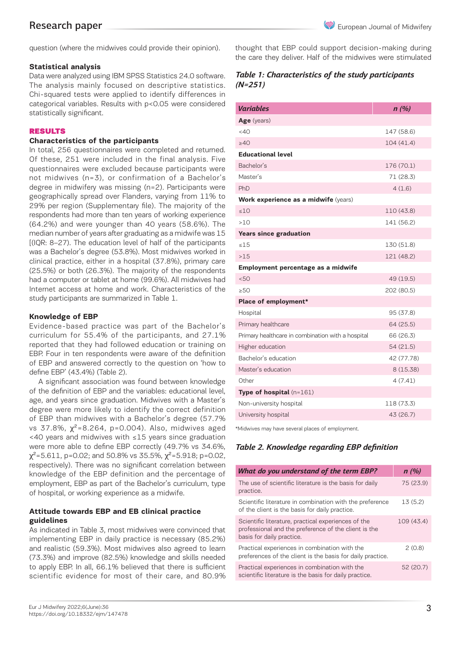question (where the midwives could provide their opinion).

# **Statistical analysis**

Data were analyzed using IBM SPSS Statistics 24.0 software. The analysis mainly focused on descriptive statistics. Chi-squared tests were applied to identify differences in categorical variables. Results with p<0.05 were considered statistically significant.

#### RESULTS

# **Characteristics of the participants**

In total, 256 questionnaires were completed and returned. Of these, 251 were included in the final analysis. Five questionnaires were excluded because participants were not midwives (n=3), or confirmation of a Bachelor's degree in midwifery was missing (n=2). Participants were geographically spread over Flanders, varying from 11% to 29% per region (Supplementary file). The majority of the respondents had more than ten years of working experience (64.2%) and were younger than 40 years (58.6%). The median number of years after graduating as a midwife was 15 [(IQR: 8–27). The education level of half of the participants was a Bachelor's degree (53.8%). Most midwives worked in clinical practice, either in a hospital (37.8%), primary care (25.5%) or both (26.3%). The majority of the respondents had a computer or tablet at home (99.6%). All midwives had Internet access at home and work. Characteristics of the study participants are summarized in Table 1.

#### **Knowledge of EBP**

Evidence-based practice was part of the Bachelor's curriculum for 55.4% of the participants, and 27.1% reported that they had followed education or training on EBP. Four in ten respondents were aware of the definition of EBP and answered correctly to the question on 'how to define EBP' (43.4%) (Table 2).

A significant association was found between knowledge of the definition of EBP and the variables: educational level, age, and years since graduation. Midwives with a Master's degree were more likely to identify the correct definition of EBP than midwives with a Bachelor's degree (57.7% vs 37.8%,  $χ² = 8.264$ ,  $p = 0.004$ ). Also, midwives aged <40 years and midwives with ≤15 years since graduation were more able to define EBP correctly (49.7% vs 34.6%,  $\chi^2$ =5.611, p=0.02; and 50.8% vs 35.5%,  $\chi^2$ =5.918; p=0.02, respectively). There was no significant correlation between knowledge of the EBP definition and the percentage of employment, EBP as part of the Bachelor's curriculum, type of hospital, or working experience as a midwife.

# **Attitude towards EBP and EB clinical practice guidelines**

As indicated in Table 3, most midwives were convinced that implementing EBP in daily practice is necessary (85.2%) and realistic (59.3%). Most midwives also agreed to learn (73.3%) and improve (82.5%) knowledge and skills needed to apply EBP. In all, 66.1% believed that there is sufficient scientific evidence for most of their care, and 80.9%

thought that EBP could support decision-making during the care they deliver. Half of the midwives were stimulated

# *Table 1: Characteristics of the study participants (N=251)*

| <b>Variables</b>                                  | n(%)       |  |  |  |  |  |
|---------------------------------------------------|------------|--|--|--|--|--|
| Age (years)                                       |            |  |  |  |  |  |
| $<$ 40                                            | 147 (58.6) |  |  |  |  |  |
| >40                                               | 104 (41.4) |  |  |  |  |  |
| <b>Educational level</b>                          |            |  |  |  |  |  |
| Bachelor's                                        | 176 (70.1) |  |  |  |  |  |
| Master's                                          | 71 (28.3)  |  |  |  |  |  |
| PhD                                               | 4(1.6)     |  |  |  |  |  |
| Work experience as a midwife (years)              |            |  |  |  |  |  |
| ≤10                                               | 110 (43.8) |  |  |  |  |  |
| >10                                               | 141 (56.2) |  |  |  |  |  |
| <b>Years since graduation</b>                     |            |  |  |  |  |  |
| $\leq 15$                                         | 130 (51.8) |  |  |  |  |  |
| >1.5                                              | 121 (48.2) |  |  |  |  |  |
| Employment percentage as a midwife                |            |  |  |  |  |  |
| < 50                                              | 49 (19.5)  |  |  |  |  |  |
| >50                                               | 202 (80.5) |  |  |  |  |  |
| Place of employment*                              |            |  |  |  |  |  |
| Hospital                                          | 95 (37.8)  |  |  |  |  |  |
| Primary healthcare                                | 64 (25.5)  |  |  |  |  |  |
| Primary healthcare in combination with a hospital | 66 (26.3)  |  |  |  |  |  |
| Higher education                                  | 54(21.5)   |  |  |  |  |  |
| Bachelor's education                              | 42 (77.78) |  |  |  |  |  |
| Master's education                                | 8(15.38)   |  |  |  |  |  |
| Other                                             | 4(7.41)    |  |  |  |  |  |
| <b>Type of hospital</b> $(n=161)$                 |            |  |  |  |  |  |
| Non-university hospital                           | 118 (73.3) |  |  |  |  |  |
| University hospital                               | 43 (26.7)  |  |  |  |  |  |

\*Midwives may have several places of employment.

# *Table 2. Knowledge regarding EBP definition*

| What do you understand of the term EBP?                                                                                                  | n(%)       |
|------------------------------------------------------------------------------------------------------------------------------------------|------------|
| The use of scientific literature is the basis for daily<br>practice.                                                                     | 75 (23.9)  |
| Scientific literature in combination with the preference<br>of the client is the basis for daily practice.                               | 13(5.2)    |
| Scientific literature, practical experiences of the<br>professional and the preference of the client is the<br>basis for daily practice. | 109 (43.4) |
| Practical experiences in combination with the<br>preferences of the client is the basis for daily practice.                              | 2(0.8)     |
| Practical experiences in combination with the<br>scientific literature is the basis for daily practice.                                  | 52 (20.7)  |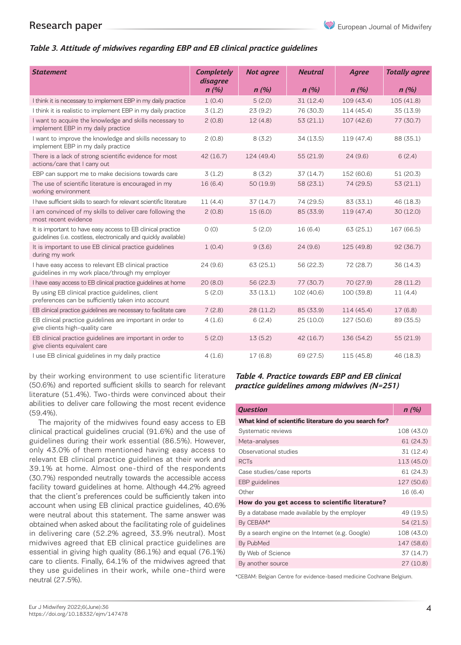# *Table 3. Attitude of midwives regarding EBP and EB clinical practice guidelines*

| <b>Statement</b>                                                                                                                | <b>Completely</b> | <b>Not agree</b> | <b>Neutral</b> | <b>Agree</b> | <b>Totally agree</b> |
|---------------------------------------------------------------------------------------------------------------------------------|-------------------|------------------|----------------|--------------|----------------------|
|                                                                                                                                 | disagree<br>n(%)  | n(%)             | n(%)           | n(%)         | n(%)                 |
|                                                                                                                                 |                   |                  |                |              |                      |
| I think it is necessary to implement EBP in my daily practice                                                                   | 1(0.4)            | 5(2.0)           | 31(12.4)       | 109 (43.4)   | 105 (41.8)           |
| I think it is realistic to implement EBP in my daily practice                                                                   | 3(1.2)            | 23(9.2)          | 76 (30.3)      | 114 (45.4)   | 35 (13.9)            |
| I want to acquire the knowledge and skills necessary to<br>implement EBP in my daily practice                                   | 2(0.8)            | 12(4.8)          | 53(21.1)       | 107 (42.6)   | 77 (30.7)            |
| I want to improve the knowledge and skills necessary to<br>implement EBP in my daily practice                                   | 2(0.8)            | 8(3.2)           | 34 (13.5)      | 119 (47.4)   | 88 (35.1)            |
| There is a lack of strong scientific evidence for most<br>actions/care that I carry out                                         | 42 (16.7)         | 124 (49.4)       | 55(21.9)       | 24(9.6)      | 6(2.4)               |
| EBP can support me to make decisions towards care                                                                               | 3(1.2)            | 8(3.2)           | 37(14.7)       | 152 (60.6)   | 51(20.3)             |
| The use of scientific literature is encouraged in my<br>working environment                                                     | 16(6.4)           | 50 (19.9)        | 58 (23.1)      | 74 (29.5)    | 53(21.1)             |
| I have sufficient skills to search for relevant scientific literature                                                           | 11(4.4)           | 37(14.7)         | 74 (29.5)      | 83 (33.1)    | 46 (18.3)            |
| I am convinced of my skills to deliver care following the<br>most recent evidence                                               | 2(0.8)            | 15(6.0)          | 85 (33.9)      | 119 (47.4)   | 30 (12.0)            |
| It is important to have easy access to EB clinical practice<br>guidelines (i.e. costless, electronically and quickly available) | O(0)              | 5(2.0)           | 16(6.4)        | 63 (25.1)    | 167 (66.5)           |
| It is important to use EB clinical practice guidelines<br>during my work                                                        | 1(0.4)            | 9(3.6)           | 24(9.6)        | 125 (49.8)   | 92(36.7)             |
| I have easy access to relevant EB clinical practice<br>guidelines in my work place/through my employer                          | 24(9.6)           | 63 (25.1)        | 56 (22.3)      | 72 (28.7)    | 36 (14.3)            |
| I have easy access to EB clinical practice guidelines at home                                                                   | 20(8.0)           | 56 (22.3)        | 77 (30.7)      | 70 (27.9)    | 28 (11.2)            |
| By using EB clinical practice guidelines, client<br>preferences can be sufficiently taken into account                          | 5(2.0)            | 33(13.1)         | 102 (40.6)     | 100 (39.8)   | 11(4.4)              |
| EB clinical practice guidelines are necessary to facilitate care                                                                | 7(2.8)            | 28 (11.2)        | 85 (33.9)      | 114 (45.4)   | 17(6.8)              |
| EB clinical practice guidelines are important in order to<br>give clients high-quality care                                     | 4(1.6)            | 6(2.4)           | 25(10.0)       | 127 (50.6)   | 89 (35.5)            |
| EB clinical practice guidelines are important in order to<br>give clients equivalent care                                       | 5(2.0)            | 13(5.2)          | 42(16.7)       | 136 (54.2)   | 55 (21.9)            |
| I use EB clinical guidelines in my daily practice                                                                               | 4(1.6)            | 17(6.8)          | 69 (27.5)      | 115 (45.8)   | 46 (18.3)            |

by their working environment to use scientific literature (50.6%) and reported sufficient skills to search for relevant literature (51.4%). Two-thirds were convinced about their abilities to deliver care following the most recent evidence (59.4%).

The majority of the midwives found easy access to EB clinical practical guidelines crucial (91.6%) and the use of guidelines during their work essential (86.5%). However, only 43.0% of them mentioned having easy access to relevant EB clinical practice guidelines at their work and 39.1% at home. Almost one-third of the respondents (30.7%) responded neutrally towards the accessible access facility toward guidelines at home. Although 44.2% agreed that the client's preferences could be sufficiently taken into account when using EB clinical practice guidelines, 40.6% were neutral about this statement. The same answer was obtained when asked about the facilitating role of guidelines in delivering care (52.2% agreed, 33.9% neutral). Most midwives agreed that EB clinical practice guidelines are essential in giving high quality (86.1%) and equal (76.1%) care to clients. Finally, 64.1% of the midwives agreed that they use guidelines in their work, while one-third were neutral (27.5%).

# *Table 4. Practice towards EBP and EB clinical practice guidelines among midwives (N=251)*

| <b>Question</b>                                       | n(%)       |  |  |  |  |
|-------------------------------------------------------|------------|--|--|--|--|
| What kind of scientific literature do you search for? |            |  |  |  |  |
| Systematic reviews                                    | 108 (43.0) |  |  |  |  |
| Meta-analyses                                         | 61 (24.3)  |  |  |  |  |
| Observational studies                                 | 31 (12.4)  |  |  |  |  |
| <b>RCTs</b>                                           | 113 (45.0) |  |  |  |  |
| Case studies/case reports                             | 61 (24.3)  |  |  |  |  |
| EBP guidelines                                        | 127 (50.6) |  |  |  |  |
| Other                                                 | 16 (6.4)   |  |  |  |  |
| How do you get access to scientific literature?       |            |  |  |  |  |
| By a database made available by the employer          | 49 (19.5)  |  |  |  |  |
| By CEBAM*                                             | 54 (21.5)  |  |  |  |  |
| By a search engine on the Internet (e.g. Google)      | 108 (43.0) |  |  |  |  |
| By PubMed                                             | 147 (58.6) |  |  |  |  |
| By Web of Science                                     | 37 (14.7)  |  |  |  |  |
| By another source                                     | 27 (10.8)  |  |  |  |  |

\*CEBAM: Belgian Centre for evidence-based medicine Cochrane Belgium.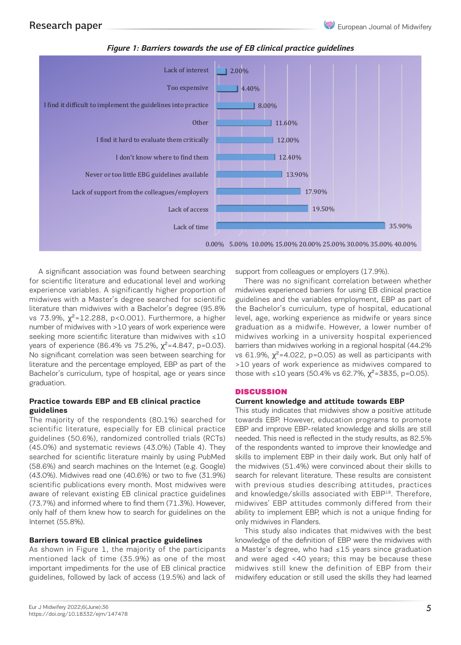

#### *Figure 1: Barriers towards the use of EB clinical practice guidelines Figure 1: Barriers towards the use of EB clinical practice guidelines*

A significant association was found between searching for scientific literature and educational level and working experience variables. A significantly higher proportion of midwives with a Master's degree searched for scientific literature than midwives with a Bachelor's degree (95.8% nterature than midwives with a Bachelor's degree (90.8%) the Bachelor's curriculum, type or nospi<br>vs 73.9%, χ<sup>2</sup>=12.288, p<0.001). Furthermore, a higher level, age, working experience as midwif number of midwives with >10 years of work experience were graduation as a midwife. However, a low seeking more scientific literature than midwives with ≤10 years of experience (86.4% vs 75.2%,  $\chi^2$ =4.847, p=0.03). barriers than midwives working in a reg No significant correlation was seen between searching for literature and the percentage employed, EBP as part of the  $\rightarrow$ 10 years of work experience as mid Bachelor's curriculum, type of hospital, age or years since those with ≤10 years (50.4% vs 62.7%, graduation.

#### **Practice towards EBP and EB clinical practice guidelines** actice towards EBP and EB cumcat practice<br>idelines in This study indicates that midwives show a positive attitude

The majority of the respondents (80.1%) searched for towards EBP. However, and the respondents on  $\overline{E}$ scientific literature, especially for EB clinical practice guidelines (50.6%), randomized controlled trials (RCTs) needed. This need is reflected in the study resu (45.0%) and systematic reviews (43.0%) (Table 4). They searched for scientific literature mainly by using PubMed skills to implement EBP in their daily work.  $(58.6%)$  and search machines on the Internet (e.g. Google) the midwives  $(51.4%)$  were convinced (43.0%). Midwives read one (40.6%) or two to five (31.9%) scientific publications every month. Most midwives were with previous studies describing attitude aware of relevant existing EB clinical practice guidelines and of relevant externs 2D cannot placted guidance and anomology, same decoduced with 2D.<br>(73.7%) and informed where to find them (71.3%). However, midwives' EBP attitudes commonly different only half of them knew how to search for guidelines on the ability to implement EBP, which is not Internet (55.8%).

# **Barriers toward EB clinical practice guidelines**

As shown in Figure 1, the majority of the participants mentioned lack of time (35.9%) as one of the most important impediments for the use of EB clinical practice guidelines, followed by lack of access (19.5%) and lack of support from colleagues or employers (17.9%).

There was no significant correlation between whether midwives experienced barriers for using EB clinical practice guidelines and the variables employment, EBP as part of the Bachelor's curriculum, type of hospital, educational level, age, working experience as midwife or years since graduation as a midwife. However, a lower number of midwives working in a university hospital experienced barriers than midwives working in a regional hospital (44.2% vs 61.9%,  $\chi^2$ =4.022, p=0.05) as well as participants with >10 years of work experience as midwives compared to those with ≤10 years (50.4% vs 62.7%,  $\chi^2$ =3835, p=0.05).

# discussion describing attitudes, previous studies describing attitudes, production and knowledge/skills associ

# **Current knowledge and attitude towards EBP**

towards EBP. However, education programs to promote EBP and improve EBP-related knowledge and skills are still needed. This need is reflected in the study results, as 82.5% of the respondents wanted to improve their knowledge and skills to implement EBP in their daily work. But only half of the midwives (51.4%) were convinced about their skills to search for relevant literature. These results are consistent with previous studies describing attitudes, practices and knowledge/skills associated with EBP<sup>18</sup>. Therefore, midwives' EBP attitudes commonly differed from their ability to implement EBP, which is not a unique finding for only midwives in Flanders.

This study also indicates that midwives with the best knowledge of the definition of EBP were the midwives with a Master's degree, who had ≤15 years since graduation and were aged <40 years; this may be because these midwives still knew the definition of EBP from their midwifery education or still used the skills they had learned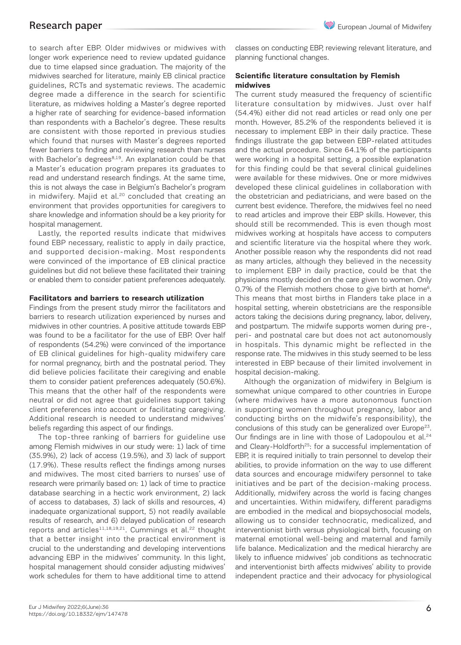to search after EBP. Older midwives or midwives with longer work experience need to review updated guidance due to time elapsed since graduation. The majority of the midwives searched for literature, mainly EB clinical practice guidelines, RCTs and systematic reviews. The academic degree made a difference in the search for scientific literature, as midwives holding a Master's degree reported a higher rate of searching for evidence-based information than respondents with a Bachelor's degree. These results are consistent with those reported in previous studies which found that nurses with Master's degrees reported fewer barriers to finding and reviewing research than nurses with Bachelor's degrees<sup>8,19</sup>. An explanation could be that a Master's education program prepares its graduates to read and understand research findings. At the same time, this is not always the case in Belgium's Bachelor's program in midwifery. Majid et al.<sup>20</sup> concluded that creating an environment that provides opportunities for caregivers to share knowledge and information should be a key priority for hospital management.

Lastly, the reported results indicate that midwives found EBP necessary, realistic to apply in daily practice, and supported decision-making. Most respondents were convinced of the importance of EB clinical practice guidelines but did not believe these facilitated their training or enabled them to consider patient preferences adequately.

# **Facilitators and barriers to research utilization**

Findings from the present study mirror the facilitators and barriers to research utilization experienced by nurses and midwives in other countries. A positive attitude towards EBP was found to be a facilitator for the use of EBP. Over half of respondents (54.2%) were convinced of the importance of EB clinical guidelines for high-quality midwifery care for normal pregnancy, birth and the postnatal period. They did believe policies facilitate their caregiving and enable them to consider patient preferences adequately (50.6%). This means that the other half of the respondents were neutral or did not agree that guidelines support taking client preferences into account or facilitating caregiving. Additional research is needed to understand midwives' beliefs regarding this aspect of our findings.

The top-three ranking of barriers for guideline use among Flemish midwives in our study were: 1) lack of time (35.9%), 2) lack of access (19.5%), and 3) lack of support (17.9%). These results reflect the findings among nurses and midwives. The most cited barriers to nurses' use of research were primarily based on: 1) lack of time to practice database searching in a hectic work environment, 2) lack of access to databases, 3) lack of skills and resources, 4) inadequate organizational support, 5) not readily available results of research, and 6) delayed publication of research reports and articles<sup>11,18,19,21</sup>. Cummings et al.<sup>22</sup> thought that a better insight into the practical environment is crucial to the understanding and developing interventions advancing EBP in the midwives' community. In this light, hospital management should consider adjusting midwives' work schedules for them to have additional time to attend

classes on conducting EBP, reviewing relevant literature, and planning functional changes.

# **Scientific literature consultation by Flemish midwives**

The current study measured the frequency of scientific literature consultation by midwives. Just over half (54.4%) either did not read articles or read only one per month. However, 85.2% of the respondents believed it is necessary to implement EBP in their daily practice. These findings illustrate the gap between EBP-related attitudes and the actual procedure. Since 64.1% of the participants were working in a hospital setting, a possible explanation for this finding could be that several clinical guidelines were available for these midwives. One or more midwives developed these clinical guidelines in collaboration with the obstetrician and pediatricians, and were based on the current best evidence. Therefore, the midwives feel no need to read articles and improve their EBP skills. However, this should still be recommended. This is even though most midwives working at hospitals have access to computers and scientific literature via the hospital where they work. Another possible reason why the respondents did not read as many articles, although they believed in the necessity to implement EBP in daily practice, could be that the physicians mostly decided on the care given to women. Only 0.7% of the Flemish mothers chose to give birth at home<sup>6</sup>. This means that most births in Flanders take place in a hospital setting, wherein obstetricians are the responsible actors taking the decisions during pregnancy, labor, delivery, and postpartum. The midwife supports women during pre-, peri- and postnatal care but does not act autonomously in hospitals. This dynamic might be reflected in the response rate. The midwives in this study seemed to be less interested in EBP because of their limited involvement in hospital decision-making.

Although the organization of midwifery in Belgium is somewhat unique compared to other countries in Europe (where midwives have a more autonomous function in supporting women throughout pregnancy, labor and conducting births on the midwife's responsibility), the conclusions of this study can be generalized over Europe<sup>23</sup>. Our findings are in line with those of Ladopoulou et al.<sup>24</sup> and Cleary-Holdforth<sup>25</sup>: for a successful implementation of EBP, it is required initially to train personnel to develop their abilities, to provide information on the way to use different data sources and encourage midwifery personnel to take initiatives and be part of the decision-making process. Additionally, midwifery across the world is facing changes and uncertainties. Within midwifery, different paradigms are embodied in the medical and biopsychosocial models, allowing us to consider technocratic, medicalized, and interventionist birth versus physiological birth, focusing on maternal emotional well-being and maternal and family life balance. Medicalization and the medical hierarchy are likely to influence midwives' job conditions as technocratic and interventionist birth affects midwives' ability to provide independent practice and their advocacy for physiological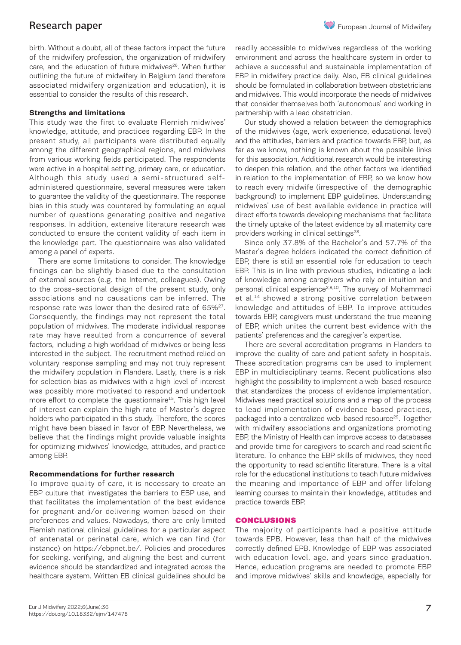birth. Without a doubt, all of these factors impact the future of the midwifery profession, the organization of midwifery care, and the education of future midwives<sup>26</sup>. When further outlining the future of midwifery in Belgium (and therefore associated midwifery organization and education), it is essential to consider the results of this research.

# **Strengths and limitations**

This study was the first to evaluate Flemish midwives' knowledge, attitude, and practices regarding EBP. In the present study, all participants were distributed equally among the different geographical regions, and midwives from various working fields participated. The respondents were active in a hospital setting, primary care, or education. Although this study used a semi-structured selfadministered questionnaire, several measures were taken to guarantee the validity of the questionnaire. The response bias in this study was countered by formulating an equal number of questions generating positive and negative responses. In addition, extensive literature research was conducted to ensure the content validity of each item in the knowledge part. The questionnaire was also validated among a panel of experts.

There are some limitations to consider. The knowledge findings can be slightly biased due to the consultation of external sources (e.g. the Internet, colleagues). Owing to the cross-sectional design of the present study, only associations and no causations can be inferred. The response rate was lower than the desired rate of  $65\%^{27}$ . Consequently, the findings may not represent the total population of midwives. The moderate individual response rate may have resulted from a concurrence of several factors, including a high workload of midwives or being less interested in the subject. The recruitment method relied on voluntary response sampling and may not truly represent the midwifery population in Flanders. Lastly, there is a risk for selection bias as midwives with a high level of interest was possibly more motivated to respond and undertook more effort to complete the questionnaire<sup>15</sup>. This high level of interest can explain the high rate of Master's degree holders who participated in this study. Therefore, the scores might have been biased in favor of EBP. Nevertheless, we believe that the findings might provide valuable insights for optimizing midwives' knowledge, attitudes, and practice among EBP.

# **Recommendations for further research**

To improve quality of care, it is necessary to create an EBP culture that investigates the barriers to EBP use, and that facilitates the implementation of the best evidence for pregnant and/or delivering women based on their preferences and values. Nowadays, there are only limited Flemish national clinical guidelines for a particular aspect of antenatal or perinatal care, which we can find (for instance) on https://ebpnet.be/. Policies and procedures for seeking, verifying, and aligning the best and current evidence should be standardized and integrated across the healthcare system. Written EB clinical guidelines should be

readily accessible to midwives regardless of the working environment and across the healthcare system in order to achieve a successful and sustainable implementation of EBP in midwifery practice daily. Also, EB clinical guidelines should be formulated in collaboration between obstetricians and midwives. This would incorporate the needs of midwives that consider themselves both 'autonomous' and working in partnership with a lead obstetrician.

Our study showed a relation between the demographics of the midwives (age, work experience, educational level) and the attitudes, barriers and practice towards EBP, but, as far as we know, nothing is known about the possible links for this association. Additional research would be interesting to deepen this relation, and the other factors we identified in relation to the implementation of EBP, so we know how to reach every midwife (irrespective of the demographic background) to implement EBP guidelines. Understanding midwives' use of best available evidence in practice will direct efforts towards developing mechanisms that facilitate the timely uptake of the latest evidence by all maternity care providers working in clinical settings<sup>28</sup>.

Since only 37.8% of the Bachelor's and 57.7% of the Master's degree holders indicated the correct definition of EBP, there is still an essential role for education to teach EBP. This is in line with previous studies, indicating a lack of knowledge among caregivers who rely on intuition and personal clinical experience<sup>2,8,10</sup>. The survey of Mohammadi et al.14 showed a strong positive correlation between knowledge and attitudes of EBP. To improve attitudes towards EBP, caregivers must understand the true meaning of EBP, which unites the current best evidence with the patients' preferences and the caregiver's expertise.

There are several accreditation programs in Flanders to improve the quality of care and patient safety in hospitals. These accreditation programs can be used to implement EBP in multidisciplinary teams. Recent publications also highlight the possibility to implement a web-based resource that standardizes the process of evidence implementation. Midwives need practical solutions and a map of the process to lead implementation of evidence-based practices, packaged into a centralized web-based resource<sup>29</sup>. Together with midwifery associations and organizations promoting EBP, the Ministry of Health can improve access to databases and provide time for caregivers to search and read scientific literature. To enhance the EBP skills of midwives, they need the opportunity to read scientific literature. There is a vital role for the educational institutions to teach future midwives the meaning and importance of EBP and offer lifelong learning courses to maintain their knowledge, attitudes and practice towards EBP.

# CONCLUSIONS

The majority of participants had a positive attitude towards EPB. However, less than half of the midwives correctly defined EPB. Knowledge of EBP was associated with education level, age, and years since graduation. Hence, education programs are needed to promote EBP and improve midwives' skills and knowledge, especially for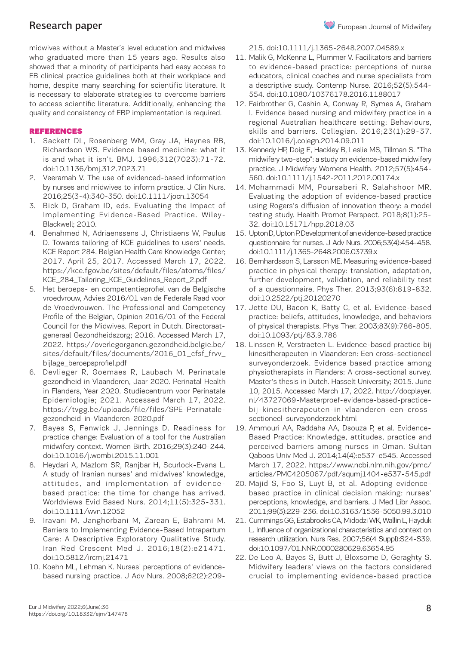midwives without a Master's level education and midwives who graduated more than 15 years ago. Results also showed that a minority of participants had easy access to EB clinical practice guidelines both at their workplace and home, despite many searching for scientific literature. It is necessary to elaborate strategies to overcome barriers to access scientific literature. Additionally, enhancing the quality and consistency of EBP implementation is required.

# REFERENCES

- 1. Sackett DL, Rosenberg WM, Gray JA, Haynes RB, Richardson WS. Evidence based medicine: what it is and what it isn't. BMJ. 1996;312(7023):71-72. doi:10.1136/bmj.312.7023.71
- 2. Veeramah V. The use of evidenced-based information by nurses and midwives to inform practice. J Clin Nurs. 2016;25(3-4):340-350. doi:10.1111/jocn.13054
- 3. Bick D, Graham ID, eds. Evaluating the Impact of Implementing Evidence-Based Practice. Wiley-Blackwell; 2010.
- 4. Benahmed N, Adriaenssens J, Christiaens W, Paulus D. Towards tailoring of KCE guidelines to users' needs. KCE Report 284. Belgian Health Care Knowledge Center; 2017. April 25, 2017. Accessed March 17, 2022. https://kce.fgov.be/sites/default/files/atoms/files/ KCE\_284\_Tailoring\_KCE\_Guidelines\_Report\_2.pdf
- 5. Het beroeps- en competentieprofiel van de Belgische vroedvrouw, Advies 2016/01 van de Federale Raad voor de Vroedvrouwen. The Professional and Competency Profile of the Belgian, Opinion 2016/01 of the Federal Council for the Midwives. Report in Dutch. Directoraatgeneraal Gezondheidszorg; 2016. Accessed March 17, 2022. https://overlegorganen.gezondheid.belgie.be/ sites/default/files/documents/2016\_01\_cfsf\_frvv\_ bijlage\_beroepsprofiel.pdf
- 6. Devlieger R, Goemaes R, Laubach M. Perinatale gezondheid in Vlaanderen, Jaar 2020. Perinatal Health in Flanders, Year 2020. Studiecentrum voor Perinatale Epidemiologie; 2021. Accessed March 17, 2022. https://tvgg.be/uploads/file/files/SPE-Perinatalegezondheid-in-Vlaanderen-2020.pdf
- 7. Bayes S, Fenwick J, Jennings D. Readiness for practice change: Evaluation of a tool for the Australian midwifery context. Women Birth. 2016;29(3):240-244. doi:10.1016/j.wombi.2015.11.001
- 8. Heydari A, Mazlom SR, Ranjbar H, Scurlock-Evans L. A study of Iranian nurses' and midwives' knowledge, attitudes, and implementation of evidencebased practice: the time for change has arrived. Worldviews Evid Based Nurs. 2014;11(5):325-331. doi:10.1111/wvn.12052
- 9. Iravani M, Janghorbani M, Zarean E, Bahrami M. Barriers to Implementing Evidence-Based Intrapartum Care: A Descriptive Exploratory Qualitative Study. Iran Red Crescent Med J. 2016;18(2):e21471. doi:10.5812/ircmj.21471
- 10. Koehn ML, Lehman K. Nurses' perceptions of evidencebased nursing practice. J Adv Nurs. 2008;62(2):209-

215. doi:10.1111/j.1365-2648.2007.04589.x

- 11. Malik G, McKenna L, Plummer V. Facilitators and barriers to evidence-based practice: perceptions of nurse educators, clinical coaches and nurse specialists from a descriptive study. Contemp Nurse. 2016;52(5):544- 554. doi:10.1080/10376178.2016.1188017
- 12. Fairbrother G, Cashin A, Conway R, Symes A, Graham I. Evidence based nursing and midwifery practice in a regional Australian healthcare setting: Behaviours, skills and barriers. Collegian. 2016;23(1):29-37. doi:10.1016/j.colegn.2014.09.011
- 13. Kennedy HP, Doig E, Hackley B, Leslie MS, Tillman S. "The midwifery two-step": a study on evidence-based midwifery practice. J Midwifery Womens Health. 2012;57(5):454- 560. doi:10.1111/j.1542-2011.2012.00174.x
- 14. Mohammadi MM, Poursaberi R, Salahshoor MR. Evaluating the adoption of evidence-based practice using Rogers's diffusion of innovation theory: a model testing study. Health Promot Perspect. 2018;8(1):25- 32. doi:10.15171/hpp.2018.03
- 15. Upton D, Upton P. Development of an evidence-based practice questionnaire for nurses. J Adv Nurs. 2006;53(4):454-458. doi:10.1111/j.1365-2648.2006.03739.x
- 16. Bernhardsson S, Larsson ME. Measuring evidence-based practice in physical therapy: translation, adaptation, further development, validation, and reliability test of a questionnaire. Phys Ther. 2013;93(6):819-832. doi:10.2522/ptj.20120270
- 17. Jette DU, Bacon K, Batty C, et al. Evidence-based practice: beliefs, attitudes, knowledge, and behaviors of physical therapists. Phys Ther. 2003;83(9):786-805. doi:10.1093/ptj/83.9.786
- 18. Linssen R, Verstraeten L. Evidence-based practice bij kinesitherapeuten in Vlaanderen: Een cross-sectioneel surveyonderzoek. Evidence based practice among physiotherapists in Flanders: A cross-sectional survey. Master's thesis in Dutch. Hasselt University; 2015. June 10, 2015. Accessed March 17, 2022. http://docplayer. nl/43727069-Masterproef-evidence-based-practicebij-kinesitherapeuten-in-vlaanderen-een-crosssectioneel-surveyonderzoek.html
- 19. Ammouri AA, Raddaha AA, Dsouza P, et al. Evidence-Based Practice: Knowledge, attitudes, practice and perceived barriers among nurses in Oman. Sultan Qaboos Univ Med J. 2014;14(4):e537-e545. Accessed March 17, 2022. https://www.ncbi.nlm.nih.gov/pmc/ articles/PMC4205067/pdf/squmj1404-e537-545.pdf
- 20. Majid S, Foo S, Luyt B, et al. Adopting evidencebased practice in clinical decision making: nurses' perceptions, knowledge, and barriers. J Med Libr Assoc. 2011;99(3):229-236. doi:10.3163/1536-5050.99.3.010
- 21. Cummings GG, Estabrooks CA, Midodzi WK, Wallin L, Hayduk L. Influence of organizational characteristics and context on research utilization. Nurs Res. 2007;56(4 Suppl):S24-S39. doi:10.1097/01.NNR.0000280629.63654.95
- 22. De Leo A, Bayes S, Butt J, Bloxsome D, Geraghty S. Midwifery leaders' views on the factors considered crucial to implementing evidence-based practice